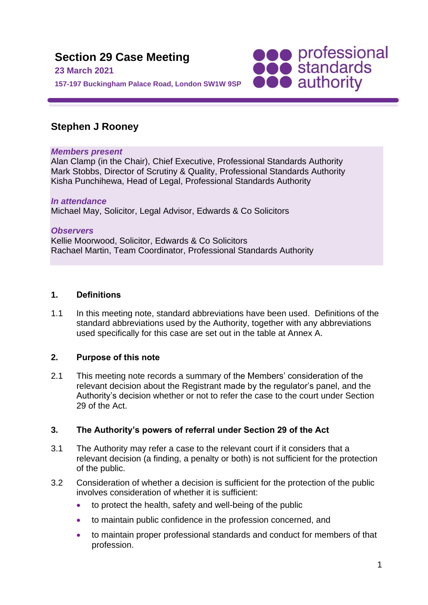

# **Stephen J Rooney**

### *Members present*

Alan Clamp (in the Chair), Chief Executive, Professional Standards Authority Mark Stobbs, Director of Scrutiny & Quality, Professional Standards Authority Kisha Punchihewa, Head of Legal, Professional Standards Authority

#### *In attendance* Michael May, Solicitor, Legal Advisor, Edwards & Co Solicitors

*Observers* Kellie Moorwood, Solicitor, Edwards & Co Solicitors Rachael Martin, Team Coordinator, Professional Standards Authority

### **1. Definitions**

1.1 In this meeting note, standard abbreviations have been used. Definitions of the standard abbreviations used by the Authority, together with any abbreviations used specifically for this case are set out in the table at Annex A.

## **2. Purpose of this note**

2.1 This meeting note records a summary of the Members' consideration of the relevant decision about the Registrant made by the regulator's panel, and the Authority's decision whether or not to refer the case to the court under Section 29 of the Act.

## **3. The Authority's powers of referral under Section 29 of the Act**

- 3.1 The Authority may refer a case to the relevant court if it considers that a relevant decision (a finding, a penalty or both) is not sufficient for the protection of the public.
- 3.2 Consideration of whether a decision is sufficient for the protection of the public involves consideration of whether it is sufficient:
	- to protect the health, safety and well-being of the public
	- to maintain public confidence in the profession concerned, and
	- to maintain proper professional standards and conduct for members of that profession.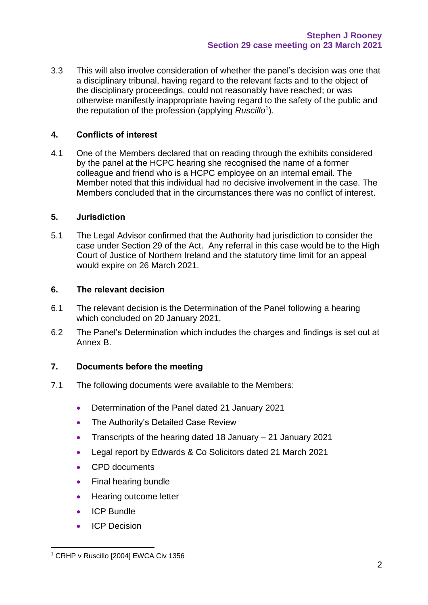3.3 This will also involve consideration of whether the panel's decision was one that a disciplinary tribunal, having regard to the relevant facts and to the object of the disciplinary proceedings, could not reasonably have reached; or was otherwise manifestly inappropriate having regard to the safety of the public and the reputation of the profession (applying *Ruscillo*<sup>1</sup> ).

### **4. Conflicts of interest**

4.1 One of the Members declared that on reading through the exhibits considered by the panel at the HCPC hearing she recognised the name of a former colleague and friend who is a HCPC employee on an internal email. The Member noted that this individual had no decisive involvement in the case. The Members concluded that in the circumstances there was no conflict of interest.

### **5. Jurisdiction**

5.1 The Legal Advisor confirmed that the Authority had jurisdiction to consider the case under Section 29 of the Act. Any referral in this case would be to the High Court of Justice of Northern Ireland and the statutory time limit for an appeal would expire on 26 March 2021.

#### **6. The relevant decision**

- 6.1 The relevant decision is the Determination of the Panel following a hearing which concluded on 20 January 2021.
- 6.2 The Panel's Determination which includes the charges and findings is set out at Annex B.

### **7. Documents before the meeting**

- 7.1 The following documents were available to the Members:
	- Determination of the Panel dated 21 January 2021
	- The Authority's Detailed Case Review
	- Transcripts of the hearing dated 18 January 21 January 2021
	- Legal report by Edwards & Co Solicitors dated 21 March 2021
	- CPD documents
	- Final hearing bundle
	- Hearing outcome letter
	- ICP Bundle
	- ICP Decision

<sup>&</sup>lt;sup>1</sup> CRHP v Ruscillo [2004] EWCA Civ 1356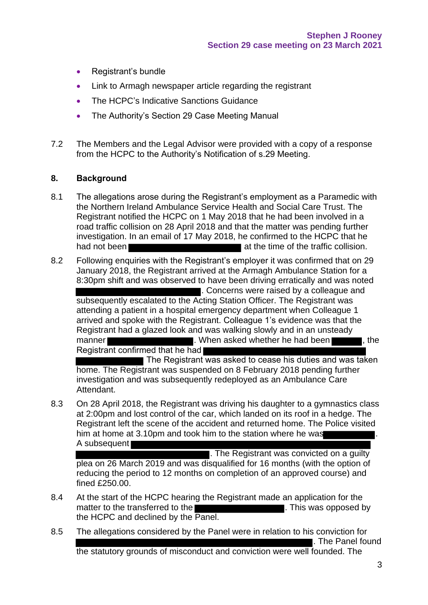- Registrant's bundle
- Link to Armagh newspaper article regarding the registrant
- The HCPC's Indicative Sanctions Guidance
- The Authority's Section 29 Case Meeting Manual
- 7.2 The Members and the Legal Advisor were provided with a copy of a response from the HCPC to the Authority's Notification of s.29 Meeting.

### **8. Background**

- 8.1 The allegations arose during the Registrant's employment as a Paramedic with the Northern Ireland Ambulance Service Health and Social Care Trust. The Registrant notified the HCPC on 1 May 2018 that he had been involved in a road traffic collision on 28 April 2018 and that the matter was pending further investigation. In an email of 17 May 2018, he confirmed to the HCPC that he had not been **at the time of the traffic collision**.
- 8.2 Following enquiries with the Registrant's employer it was confirmed that on 29 January 2018, the Registrant arrived at the Armagh Ambulance Station for a 8:30pm shift and was observed to have been driving erratically and was noted . Concerns were raised by a colleague and subsequently escalated to the Acting Station Officer. The Registrant was attending a patient in a hospital emergency department when Colleague 1 arrived and spoke with the Registrant. Colleague 1's evidence was that the Registrant had a glazed look and was walking slowly and in an unsteady manner **EXECUTE:** When asked whether he had been **the same of the set of the set of the set of the set of the set of the set of the set of the set of the set of the set of the set of the set of the set of the set of the se** Registrant confirmed that he had The Registrant was asked to cease his duties and was taken

home. The Registrant was suspended on 8 February 2018 pending further investigation and was subsequently redeployed as an Ambulance Care Attendant.

8.3 On 28 April 2018, the Registrant was driving his daughter to a gymnastics class at 2:00pm and lost control of the car, which landed on its roof in a hedge. The Registrant left the scene of the accident and returned home. The Police visited him at home at 3.10pm and took him to the station where he was A subsequent

. The Registrant was convicted on a guilty plea on 26 March 2019 and was disqualified for 16 months (with the option of reducing the period to 12 months on completion of an approved course) and fined £250.00.

- 8.4 At the start of the HCPC hearing the Registrant made an application for the matter to the transferred to the **Exercise 2008**. This was opposed by the HCPC and declined by the Panel.
- 8.5 The allegations considered by the Panel were in relation to his conviction for . The Panel found the statutory grounds of misconduct and conviction were well founded. The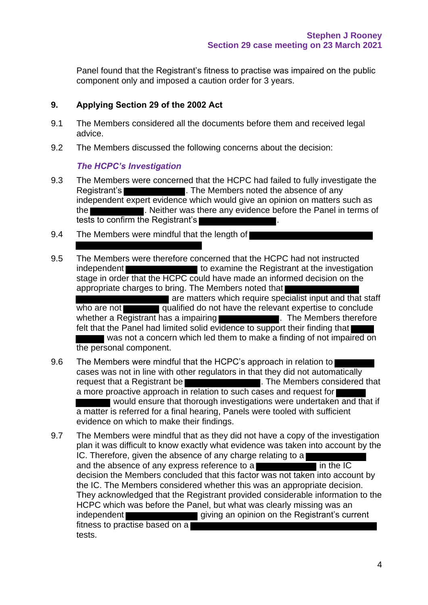Panel found that the Registrant's fitness to practise was impaired on the public component only and imposed a caution order for 3 years.

## **9. Applying Section 29 of the 2002 Act**

- 9.1 The Members considered all the documents before them and received legal advice.
- 9.2 The Members discussed the following concerns about the decision:

## *The HCPC's Investigation*

- 9.3 The Members were concerned that the HCPC had failed to fully investigate the Registrant's **Exercise 2. The Members noted the absence of any** independent expert evidence which would give an opinion on matters such as the **Educator 2018**. Neither was there any evidence before the Panel in terms of tests to confirm the Registrant's
- 9.4 The Members were mindful that the length of
- 9.5 The Members were therefore concerned that the HCPC had not instructed independent **the investigation** to examine the Registrant at the investigation stage in order that the HCPC could have made an informed decision on the appropriate charges to bring. The Members noted that are matters which require specialist input and that staff who are not **qualified do not have the relevant expertise to conclude** whether a Registrant has a impairing **the assumption of the Members therefore** felt that the Panel had limited solid evidence to support their finding that was not a concern which led them to make a finding of not impaired on the personal component.
- 9.6 The Members were mindful that the HCPC's approach in relation to cases was not in line with other regulators in that they did not automatically request that a Registrant be **EXACTE 2008**. The Members considered that a more proactive approach in relation to such cases and request for would ensure that thorough investigations were undertaken and that if a matter is referred for a final hearing, Panels were tooled with sufficient evidence on which to make their findings.
- 9.7 The Members were mindful that as they did not have a copy of the investigation plan it was difficult to know exactly what evidence was taken into account by the IC. Therefore, given the absence of any charge relating to a and the absence of any express reference to a  $\overline{\phantom{a}}$  in the IC decision the Members concluded that this factor was not taken into account by the IC. The Members considered whether this was an appropriate decision. They acknowledged that the Registrant provided considerable information to the HCPC which was before the Panel, but what was clearly missing was an independent giving an opinion on the Registrant's current fitness to practise based on a tests.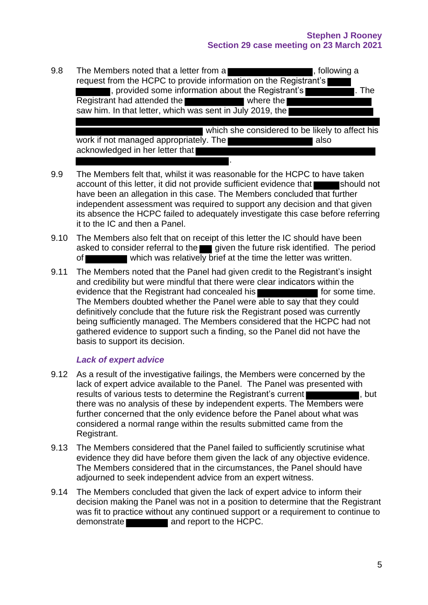### **Stephen J Rooney Section 29 case meeting on 23 March 2021**

| 9.8 | The Members noted that a letter from a<br>, following a<br>request from the HCPC to provide information on the Registrant's                                          |
|-----|----------------------------------------------------------------------------------------------------------------------------------------------------------------------|
|     | , provided some information about the Registrant's<br>. The<br>Registrant had attended the<br>where the<br>saw him. In that letter, which was sent in July 2019, the |
|     | which she considered to be likely to affect his                                                                                                                      |
|     | work if not managed appropriately. The<br>also<br>acknowledged in her letter that                                                                                    |
|     |                                                                                                                                                                      |

- 9.9 The Members felt that, whilst it was reasonable for the HCPC to have taken account of this letter, it did not provide sufficient evidence that should not have been an allegation in this case. The Members concluded that further independent assessment was required to support any decision and that given its absence the HCPC failed to adequately investigate this case before referring it to the IC and then a Panel.
- 9.10 The Members also felt that on receipt of this letter the IC should have been asked to consider referral to the given the future risk identified. The period of which was relatively brief at the time the letter was written.
- 9.11 The Members noted that the Panel had given credit to the Registrant's insight and credibility but were mindful that there were clear indicators within the evidence that the Registrant had concealed his **for some time.** I for some time. The Members doubted whether the Panel were able to say that they could definitively conclude that the future risk the Registrant posed was currently being sufficiently managed. The Members considered that the HCPC had not gathered evidence to support such a finding, so the Panel did not have the basis to support its decision.

## *Lack of expert advice*

- 9.12 As a result of the investigative failings, the Members were concerned by the lack of expert advice available to the Panel. The Panel was presented with results of various tests to determine the Registrant's current  $\blacksquare$ there was no analysis of these by independent experts. The Members were further concerned that the only evidence before the Panel about what was considered a normal range within the results submitted came from the Registrant.
- 9.13 The Members considered that the Panel failed to sufficiently scrutinise what evidence they did have before them given the lack of any objective evidence. The Members considered that in the circumstances, the Panel should have adjourned to seek independent advice from an expert witness.
- 9.14 The Members concluded that given the lack of expert advice to inform their decision making the Panel was not in a position to determine that the Registrant was fit to practice without any continued support or a requirement to continue to demonstrate **and report to the HCPC.**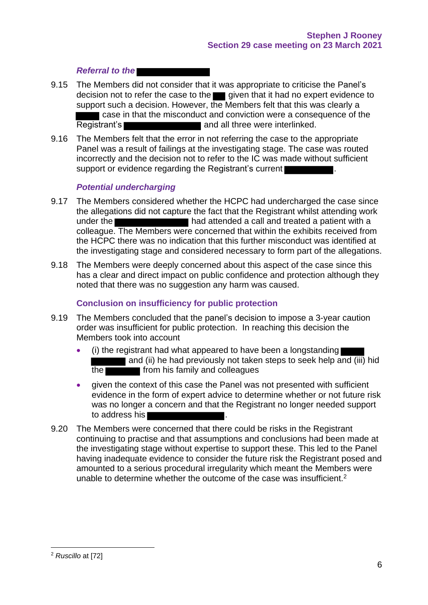### *Referral to the*

- 9.15 The Members did not consider that it was appropriate to criticise the Panel's decision not to refer the case to the given that it had no expert evidence to support such a decision. However, the Members felt that this was clearly a case in that the misconduct and conviction were a consequence of the Registrant's **Registrant's** and all three were interlinked.
- 9.16 The Members felt that the error in not referring the case to the appropriate Panel was a result of failings at the investigating stage. The case was routed incorrectly and the decision not to refer to the IC was made without sufficient support or evidence regarding the Registrant's current

#### *Potential undercharging*

- 9.17 The Members considered whether the HCPC had undercharged the case since the allegations did not capture the fact that the Registrant whilst attending work under the **had attended a call and treated a patient with a** colleague. The Members were concerned that within the exhibits received from the HCPC there was no indication that this further misconduct was identified at the investigating stage and considered necessary to form part of the allegations.
- 9.18 The Members were deeply concerned about this aspect of the case since this has a clear and direct impact on public confidence and protection although they noted that there was no suggestion any harm was caused.

#### **Conclusion on insufficiency for public protection**

- 9.19 The Members concluded that the panel's decision to impose a 3-year caution order was insufficient for public protection. In reaching this decision the Members took into account
	- (i) the registrant had what appeared to have been a longstanding and (ii) he had previously not taken steps to seek help and (iii) hid the from his family and colleagues
	- given the context of this case the Panel was not presented with sufficient evidence in the form of expert advice to determine whether or not future risk was no longer a concern and that the Registrant no longer needed support to address his
- 9.20 The Members were concerned that there could be risks in the Registrant continuing to practise and that assumptions and conclusions had been made at the investigating stage without expertise to support these. This led to the Panel having inadequate evidence to consider the future risk the Registrant posed and amounted to a serious procedural irregularity which meant the Members were unable to determine whether the outcome of the case was insufficient.<sup>2</sup>

<sup>2</sup> *Ruscillo* at [72]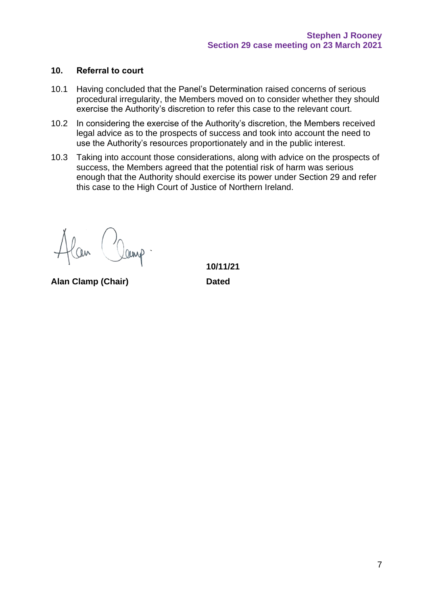#### **10. Referral to court**

- 10.1 Having concluded that the Panel's Determination raised concerns of serious procedural irregularity, the Members moved on to consider whether they should exercise the Authority's discretion to refer this case to the relevant court.
- 10.2 In considering the exercise of the Authority's discretion, the Members received legal advice as to the prospects of success and took into account the need to use the Authority's resources proportionately and in the public interest.
- 10.3 Taking into account those considerations, along with advice on the prospects of success, the Members agreed that the potential risk of harm was serious enough that the Authority should exercise its power under Section 29 and refer this case to the High Court of Justice of Northern Ireland.

**Alan Clamp (Chair) Dated**

**10/11/21**